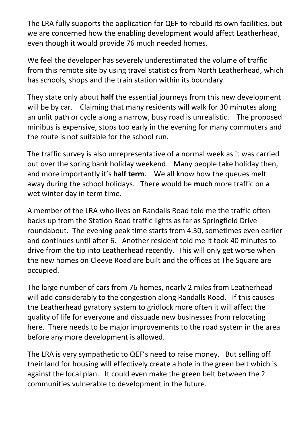The LRA fully supports the application for QEF to rebuild its own facilities, but we are concerned how the enabling development would affect Leatherhead, even though it would provide 76 much needed homes.

We feel the developer has severely underestimated the volume of traffic from this remote site by using travel statistics from North Leatherhead, which has schools, shops and the train station within its boundary.

They state only about **half** the essential journeys from this new development will be by car. Claiming that many residents will walk for 30 minutes along an unlit path or cycle along a narrow, busy road is unrealistic. The proposed minibus is expensive, stops too early in the evening for many commuters and the route is not suitable for the school run.

The traffic survey is also unrepresentative of a normal week as it was carried out over the spring bank holiday weekend. Many people take holiday then, and more importantly it's **half term**. We all know how the queues melt away during the school holidays. There would be **much** more traffic on a wet winter day in term time.

A member of the LRA who lives on Randalls Road told me the traffic often backs up from the Station Road traffic lights as far as Springfield Drive roundabout. The evening peak time starts from 4.30, sometimes even earlier and continues until after 6. Another resident told me it took 40 minutes to drive from the tip into Leatherhead recently. This will only get worse when the new homes on Cleeve Road are built and the offices at The Square are occupied.

The large number of cars from 76 homes, nearly 2 miles from Leatherhead will add considerably to the congestion along Randalls Road. If this causes the Leatherhead gyratory system to gridlock more often it will affect the quality of life for everyone and dissuade new businesses from relocating here. There needs to be major improvements to the road system in the area before any more development is allowed.

The LRA is very sympathetic to QEF's need to raise money. But selling off their land for housing will effectively create a hole in the green belt which is against the local plan. It could even make the green belt between the 2 communities vulnerable to development in the future.